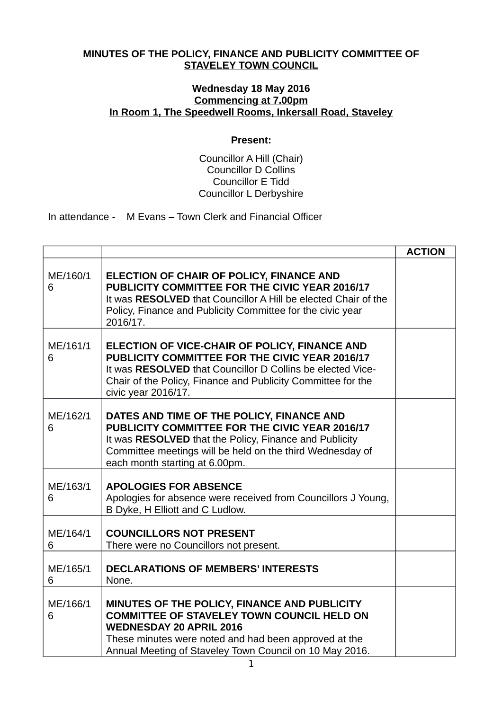## **MINUTES OF THE POLICY, FINANCE AND PUBLICITY COMMITTEE OF STAVELEY TOWN COUNCIL**

## **Wednesday 18 May 2016 Commencing at 7.00pm In Room 1, The Speedwell Rooms, Inkersall Road, Staveley**

## **Present:**

## Councillor A Hill (Chair) Councillor D Collins Councillor E Tidd Councillor L Derbyshire

In attendance - M Evans – Town Clerk and Financial Officer

|               |                                                                                                                                                                                                                                                         | <b>ACTION</b> |
|---------------|---------------------------------------------------------------------------------------------------------------------------------------------------------------------------------------------------------------------------------------------------------|---------------|
| ME/160/1<br>6 | ELECTION OF CHAIR OF POLICY, FINANCE AND<br>PUBLICITY COMMITTEE FOR THE CIVIC YEAR 2016/17<br>It was RESOLVED that Councillor A Hill be elected Chair of the<br>Policy, Finance and Publicity Committee for the civic year<br>2016/17.                  |               |
| ME/161/1<br>6 | ELECTION OF VICE-CHAIR OF POLICY, FINANCE AND<br>PUBLICITY COMMITTEE FOR THE CIVIC YEAR 2016/17<br>It was RESOLVED that Councillor D Collins be elected Vice-<br>Chair of the Policy, Finance and Publicity Committee for the<br>civic year 2016/17.    |               |
| ME/162/1<br>6 | DATES AND TIME OF THE POLICY, FINANCE AND<br>PUBLICITY COMMITTEE FOR THE CIVIC YEAR 2016/17<br>It was RESOLVED that the Policy, Finance and Publicity<br>Committee meetings will be held on the third Wednesday of<br>each month starting at 6.00pm.    |               |
| ME/163/1<br>6 | <b>APOLOGIES FOR ABSENCE</b><br>Apologies for absence were received from Councillors J Young,<br>B Dyke, H Elliott and C Ludlow.                                                                                                                        |               |
| ME/164/1<br>6 | <b>COUNCILLORS NOT PRESENT</b><br>There were no Councillors not present.                                                                                                                                                                                |               |
| ME/165/1<br>6 | <b>DECLARATIONS OF MEMBERS' INTERESTS</b><br>None.                                                                                                                                                                                                      |               |
| ME/166/1<br>6 | MINUTES OF THE POLICY, FINANCE AND PUBLICITY<br><b>COMMITTEE OF STAVELEY TOWN COUNCIL HELD ON</b><br><b>WEDNESDAY 20 APRIL 2016</b><br>These minutes were noted and had been approved at the<br>Annual Meeting of Staveley Town Council on 10 May 2016. |               |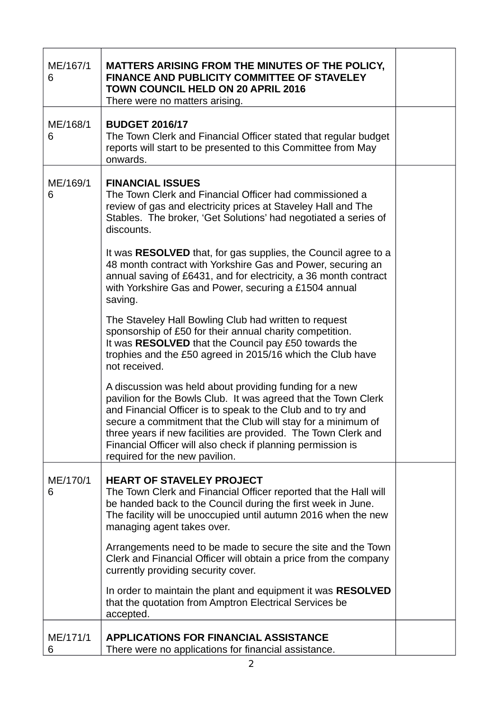| ME/167/1<br>6 | MATTERS ARISING FROM THE MINUTES OF THE POLICY,<br><b>FINANCE AND PUBLICITY COMMITTEE OF STAVELEY</b><br><b>TOWN COUNCIL HELD ON 20 APRIL 2016</b><br>There were no matters arising.                                                                                                                                                                                                                                                                                                                                                                                                                                                                                                                                                                                                                                                                                                                                                                                                                                                          |  |
|---------------|-----------------------------------------------------------------------------------------------------------------------------------------------------------------------------------------------------------------------------------------------------------------------------------------------------------------------------------------------------------------------------------------------------------------------------------------------------------------------------------------------------------------------------------------------------------------------------------------------------------------------------------------------------------------------------------------------------------------------------------------------------------------------------------------------------------------------------------------------------------------------------------------------------------------------------------------------------------------------------------------------------------------------------------------------|--|
| ME/168/1<br>6 | <b>BUDGET 2016/17</b><br>The Town Clerk and Financial Officer stated that regular budget<br>reports will start to be presented to this Committee from May<br>onwards.                                                                                                                                                                                                                                                                                                                                                                                                                                                                                                                                                                                                                                                                                                                                                                                                                                                                         |  |
| ME/169/1<br>6 | <b>FINANCIAL ISSUES</b><br>The Town Clerk and Financial Officer had commissioned a<br>review of gas and electricity prices at Staveley Hall and The<br>Stables. The broker, 'Get Solutions' had negotiated a series of<br>discounts.<br>It was <b>RESOLVED</b> that, for gas supplies, the Council agree to a<br>48 month contract with Yorkshire Gas and Power, securing an<br>annual saving of £6431, and for electricity, a 36 month contract<br>with Yorkshire Gas and Power, securing a £1504 annual<br>saving.<br>The Staveley Hall Bowling Club had written to request<br>sponsorship of £50 for their annual charity competition.<br>It was RESOLVED that the Council pay £50 towards the<br>trophies and the £50 agreed in 2015/16 which the Club have<br>not received.<br>A discussion was held about providing funding for a new<br>pavilion for the Bowls Club. It was agreed that the Town Clerk<br>and Financial Officer is to speak to the Club and to try and<br>secure a commitment that the Club will stay for a minimum of |  |
|               | three years if new facilities are provided. The Town Clerk and<br>Financial Officer will also check if planning permission is<br>required for the new pavilion.                                                                                                                                                                                                                                                                                                                                                                                                                                                                                                                                                                                                                                                                                                                                                                                                                                                                               |  |
| ME/170/1<br>6 | <b>HEART OF STAVELEY PROJECT</b><br>The Town Clerk and Financial Officer reported that the Hall will<br>be handed back to the Council during the first week in June.<br>The facility will be unoccupied until autumn 2016 when the new<br>managing agent takes over.                                                                                                                                                                                                                                                                                                                                                                                                                                                                                                                                                                                                                                                                                                                                                                          |  |
|               | Arrangements need to be made to secure the site and the Town<br>Clerk and Financial Officer will obtain a price from the company<br>currently providing security cover.                                                                                                                                                                                                                                                                                                                                                                                                                                                                                                                                                                                                                                                                                                                                                                                                                                                                       |  |
|               | In order to maintain the plant and equipment it was RESOLVED<br>that the quotation from Amptron Electrical Services be<br>accepted.                                                                                                                                                                                                                                                                                                                                                                                                                                                                                                                                                                                                                                                                                                                                                                                                                                                                                                           |  |
| ME/171/1<br>6 | <b>APPLICATIONS FOR FINANCIAL ASSISTANCE</b><br>There were no applications for financial assistance.                                                                                                                                                                                                                                                                                                                                                                                                                                                                                                                                                                                                                                                                                                                                                                                                                                                                                                                                          |  |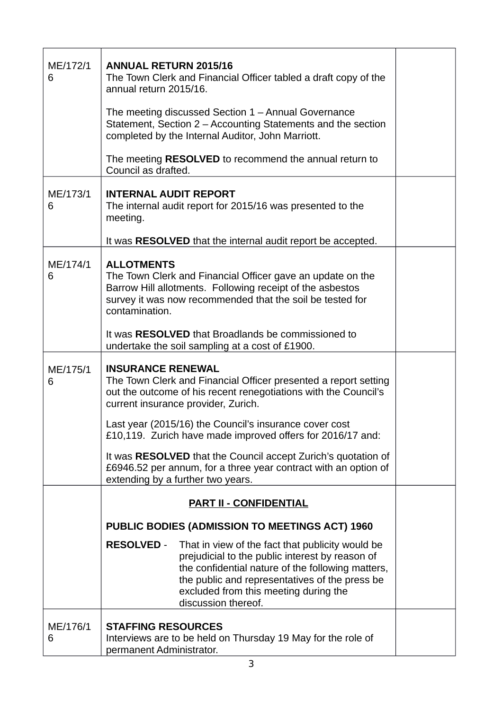| ME/172/1<br>6 | <b>ANNUAL RETURN 2015/16</b><br>The Town Clerk and Financial Officer tabled a draft copy of the<br>annual return 2015/16.<br>The meeting discussed Section 1 – Annual Governance<br>Statement, Section 2 - Accounting Statements and the section<br>completed by the Internal Auditor, John Marriott.<br>The meeting <b>RESOLVED</b> to recommend the annual return to                                                                                                                                 |  |
|---------------|--------------------------------------------------------------------------------------------------------------------------------------------------------------------------------------------------------------------------------------------------------------------------------------------------------------------------------------------------------------------------------------------------------------------------------------------------------------------------------------------------------|--|
| ME/173/1<br>6 | Council as drafted.<br><b>INTERNAL AUDIT REPORT</b><br>The internal audit report for 2015/16 was presented to the<br>meeting.<br>It was RESOLVED that the internal audit report be accepted.                                                                                                                                                                                                                                                                                                           |  |
| ME/174/1<br>6 | <b>ALLOTMENTS</b><br>The Town Clerk and Financial Officer gave an update on the<br>Barrow Hill allotments. Following receipt of the asbestos<br>survey it was now recommended that the soil be tested for<br>contamination.<br>It was <b>RESOLVED</b> that Broadlands be commissioned to<br>undertake the soil sampling at a cost of £1900.                                                                                                                                                            |  |
| ME/175/1<br>6 | <b>INSURANCE RENEWAL</b><br>The Town Clerk and Financial Officer presented a report setting<br>out the outcome of his recent renegotiations with the Council's<br>current insurance provider, Zurich.<br>Last year (2015/16) the Council's insurance cover cost<br>£10,119. Zurich have made improved offers for 2016/17 and:<br>It was RESOLVED that the Council accept Zurich's quotation of<br>£6946.52 per annum, for a three year contract with an option of<br>extending by a further two years. |  |
|               | <b>PART II - CONFIDENTIAL</b><br>PUBLIC BODIES (ADMISSION TO MEETINGS ACT) 1960                                                                                                                                                                                                                                                                                                                                                                                                                        |  |
|               | <b>RESOLVED -</b><br>That in view of the fact that publicity would be<br>prejudicial to the public interest by reason of<br>the confidential nature of the following matters,<br>the public and representatives of the press be<br>excluded from this meeting during the<br>discussion thereof.                                                                                                                                                                                                        |  |
| ME/176/1<br>6 | <b>STAFFING RESOURCES</b><br>Interviews are to be held on Thursday 19 May for the role of<br>permanent Administrator.                                                                                                                                                                                                                                                                                                                                                                                  |  |